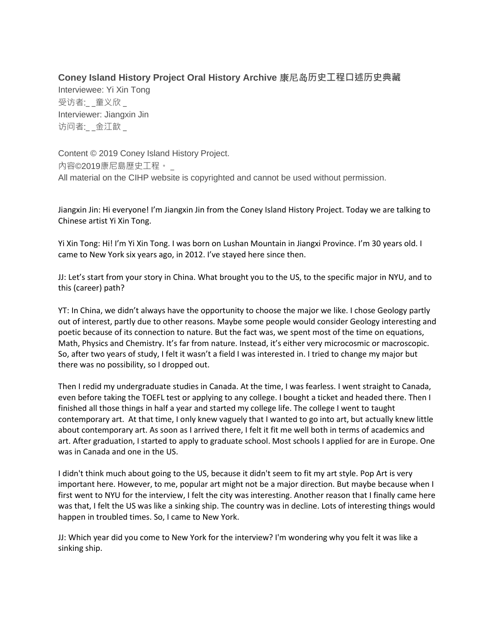## **Coney Island History Project Oral History Archive** 康尼岛**历史工程口述历史典藏**

Interviewee: Yi Xin Tong 受访者: 童义欣 Interviewer: Jiangxin Jin 访问者:\_ \_金江歆 \_

Content © 2019 Coney Island History Project. 內容©2019康尼島歷史工程。 \_ All material on the CIHP website is copyrighted and cannot be used without permission.

Jiangxin Jin: Hi everyone! I'm Jiangxin Jin from the Coney Island History Project. Today we are talking to Chinese artist Yi Xin Tong.

Yi Xin Tong: Hi! I'm Yi Xin Tong. I was born on Lushan Mountain in Jiangxi Province. I'm 30 years old. I came to New York six years ago, in 2012. I've stayed here since then.

JJ: Let's start from your story in China. What brought you to the US, to the specific major in NYU, and to this (career) path?

YT: In China, we didn't always have the opportunity to choose the major we like. I chose Geology partly out of interest, partly due to other reasons. Maybe some people would consider Geology interesting and poetic because of its connection to nature. But the fact was, we spent most of the time on equations, Math, Physics and Chemistry. It's far from nature. Instead, it's either very microcosmic or macroscopic. So, after two years of study, I felt it wasn't a field I was interested in. I tried to change my major but there was no possibility, so I dropped out.

Then I redid my undergraduate studies in Canada. At the time, I was fearless. I went straight to Canada, even before taking the TOEFL test or applying to any college. I bought a ticket and headed there. Then I finished all those things in half a year and started my college life. The college I went to taught contemporary art. At that time, I only knew vaguely that I wanted to go into art, but actually knew little about contemporary art. As soon as I arrived there, I felt it fit me well both in terms of academics and art. After graduation, I started to apply to graduate school. Most schools I applied for are in Europe. One was in Canada and one in the US.

I didn't think much about going to the US, because it didn't seem to fit my art style. Pop Art is very important here. However, to me, popular art might not be a major direction. But maybe because when I first went to NYU for the interview, I felt the city was interesting. Another reason that I finally came here was that, I felt the US was like a sinking ship. The country was in decline. Lots of interesting things would happen in troubled times. So, I came to New York.

JJ: Which year did you come to New York for the interview? I'm wondering why you felt it was like a sinking ship.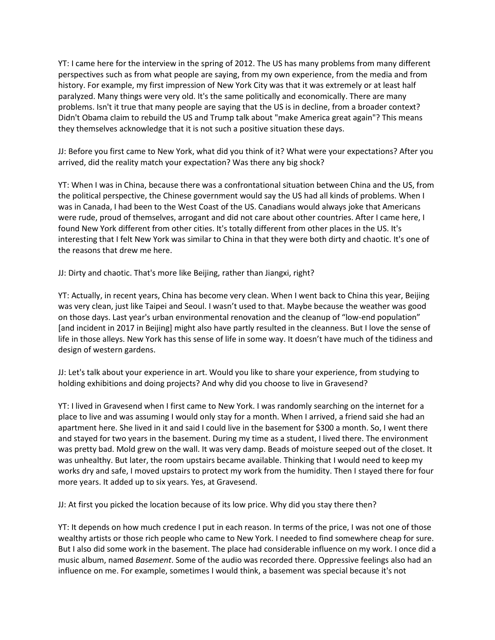YT: I came here for the interview in the spring of 2012. The US has many problems from many different perspectives such as from what people are saying, from my own experience, from the media and from history. For example, my first impression of New York City was that it was extremely or at least half paralyzed. Many things were very old. It's the same politically and economically. There are many problems. Isn't it true that many people are saying that the US is in decline, from a broader context? Didn't Obama claim to rebuild the US and Trump talk about "make America great again"? This means they themselves acknowledge that it is not such a positive situation these days.

JJ: Before you first came to New York, what did you think of it? What were your expectations? After you arrived, did the reality match your expectation? Was there any big shock?

YT: When I was in China, because there was a confrontational situation between China and the US, from the political perspective, the Chinese government would say the US had all kinds of problems. When I was in Canada, I had been to the West Coast of the US. Canadians would always joke that Americans were rude, proud of themselves, arrogant and did not care about other countries. After I came here, I found New York different from other cities. It's totally different from other places in the US. It's interesting that I felt New York was similar to China in that they were both dirty and chaotic. It's one of the reasons that drew me here.

JJ: Dirty and chaotic. That's more like Beijing, rather than Jiangxi, right?

YT: Actually, in recent years, China has become very clean. When I went back to China this year, Beijing was very clean, just like Taipei and Seoul. I wasn't used to that. Maybe because the weather was good on those days. Last year's urban environmental renovation and the cleanup of "low-end population" [and incident in 2017 in Beijing] might also have partly resulted in the cleanness. But I love the sense of life in those alleys. New York has this sense of life in some way. It doesn't have much of the tidiness and design of western gardens.

JJ: Let's talk about your experience in art. Would you like to share your experience, from studying to holding exhibitions and doing projects? And why did you choose to live in Gravesend?

YT: I lived in Gravesend when I first came to New York. I was randomly searching on the internet for a place to live and was assuming I would only stay for a month. When I arrived, a friend said she had an apartment here. She lived in it and said I could live in the basement for \$300 a month. So, I went there and stayed for two years in the basement. During my time as a student, I lived there. The environment was pretty bad. Mold grew on the wall. It was very damp. Beads of moisture seeped out of the closet. It was unhealthy. But later, the room upstairs became available. Thinking that I would need to keep my works dry and safe, I moved upstairs to protect my work from the humidity. Then I stayed there for four more years. It added up to six years. Yes, at Gravesend.

JJ: At first you picked the location because of its low price. Why did you stay there then?

YT: It depends on how much credence I put in each reason. In terms of the price, I was not one of those wealthy artists or those rich people who came to New York. I needed to find somewhere cheap for sure. But I also did some work in the basement. The place had considerable influence on my work. I once did a music album, named *Basement*. Some of the audio was recorded there. Oppressive feelings also had an influence on me. For example, sometimes I would think, a basement was special because it's not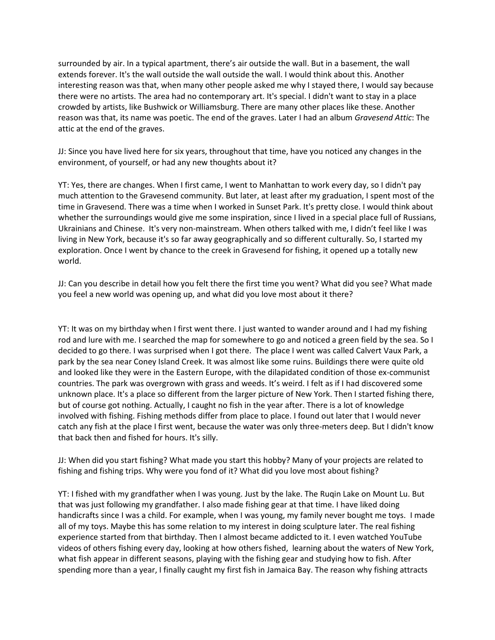surrounded by air. In a typical apartment, there's air outside the wall. But in a basement, the wall extends forever. It's the wall outside the wall outside the wall. I would think about this. Another interesting reason was that, when many other people asked me why I stayed there, I would say because there were no artists. The area had no contemporary art. It's special. I didn't want to stay in a place crowded by artists, like Bushwick or Williamsburg. There are many other places like these. Another reason was that, its name was poetic. The end of the graves. Later I had an album *Gravesend Attic*: The attic at the end of the graves.

JJ: Since you have lived here for six years, throughout that time, have you noticed any changes in the environment, of yourself, or had any new thoughts about it?

YT: Yes, there are changes. When I first came, I went to Manhattan to work every day, so I didn't pay much attention to the Gravesend community. But later, at least after my graduation, I spent most of the time in Gravesend. There was a time when I worked in Sunset Park. It's pretty close. I would think about whether the surroundings would give me some inspiration, since I lived in a special place full of Russians, Ukrainians and Chinese. It's very non-mainstream. When others talked with me, I didn't feel like I was living in New York, because it's so far away geographically and so different culturally. So, I started my exploration. Once I went by chance to the creek in Gravesend for fishing, it opened up a totally new world.

JJ: Can you describe in detail how you felt there the first time you went? What did you see? What made you feel a new world was opening up, and what did you love most about it there?

YT: It was on my birthday when I first went there. I just wanted to wander around and I had my fishing rod and lure with me. I searched the map for somewhere to go and noticed a green field by the sea. So I decided to go there. I was surprised when I got there. The place I went was called Calvert Vaux Park, a park by the sea near Coney Island Creek. It was almost like some ruins. Buildings there were quite old and looked like they were in the Eastern Europe, with the dilapidated condition of those ex-communist countries. The park was overgrown with grass and weeds. It's weird. I felt as if I had discovered some unknown place. It's a place so different from the larger picture of New York. Then I started fishing there, but of course got nothing. Actually, I caught no fish in the year after. There is a lot of knowledge involved with fishing. Fishing methods differ from place to place. I found out later that I would never catch any fish at the place I first went, because the water was only three-meters deep. But I didn't know that back then and fished for hours. It's silly.

JJ: When did you start fishing? What made you start this hobby? Many of your projects are related to fishing and fishing trips. Why were you fond of it? What did you love most about fishing?

YT: I fished with my grandfather when I was young. Just by the lake. The Ruqin Lake on Mount Lu. But that was just following my grandfather. I also made fishing gear at that time. I have liked doing handicrafts since I was a child. For example, when I was young, my family never bought me toys. I made all of my toys. Maybe this has some relation to my interest in doing sculpture later. The real fishing experience started from that birthday. Then I almost became addicted to it. I even watched YouTube videos of others fishing every day, looking at how others fished, learning about the waters of New York, what fish appear in different seasons, playing with the fishing gear and studying how to fish. After spending more than a year, I finally caught my first fish in Jamaica Bay. The reason why fishing attracts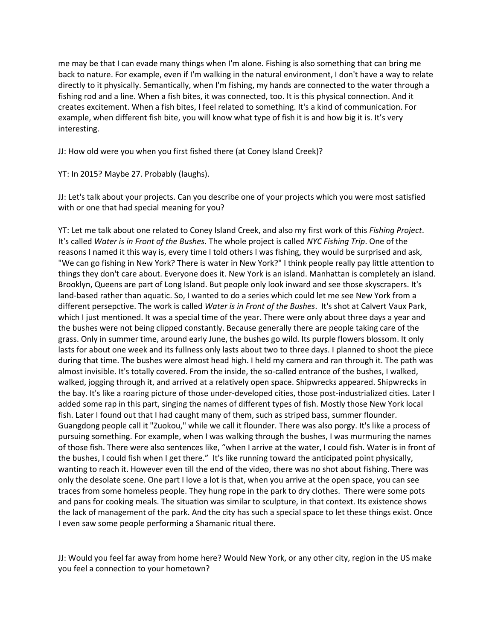me may be that I can evade many things when I'm alone. Fishing is also something that can bring me back to nature. For example, even if I'm walking in the natural environment, I don't have a way to relate directly to it physically. Semantically, when I'm fishing, my hands are connected to the water through a fishing rod and a line. When a fish bites, it was connected, too. It is this physical connection. And it creates excitement. When a fish bites, I feel related to something. It's a kind of communication. For example, when different fish bite, you will know what type of fish it is and how big it is. It's very interesting.

JJ: How old were you when you first fished there (at Coney Island Creek)?

YT: In 2015? Maybe 27. Probably (laughs).

JJ: Let's talk about your projects. Can you describe one of your projects which you were most satisfied with or one that had special meaning for you?

YT: Let me talk about one related to Coney Island Creek, and also my first work of this *Fishing Project*. It's called *Water is in Front of the Bushes*. The whole project is called *NYC Fishing Trip*. One of the reasons I named it this way is, every time I told others I was fishing, they would be surprised and ask, "We can go fishing in New York? There is water in New York?" I think people really pay little attention to things they don't care about. Everyone does it. New York is an island. Manhattan is completely an island. Brooklyn, Queens are part of Long Island. But people only look inward and see those skyscrapers. It's land-based rather than aquatic. So, I wanted to do a series which could let me see New York from a different persepctive. The work is called *Water is in Front of the Bushes*. It's shot at Calvert Vaux Park, which I just mentioned. It was a special time of the year. There were only about three days a year and the bushes were not being clipped constantly. Because generally there are people taking care of the grass. Only in summer time, around early June, the bushes go wild. Its purple flowers blossom. It only lasts for about one week and its fullness only lasts about two to three days. I planned to shoot the piece during that time. The bushes were almost head high. I held my camera and ran through it. The path was almost invisible. It's totally covered. From the inside, the so-called entrance of the bushes, I walked, walked, jogging through it, and arrived at a relatively open space. Shipwrecks appeared. Shipwrecks in the bay. It's like a roaring picture of those under-developed cities, those post-industrialized cities. Later I added some rap in this part, singing the names of different types of fish. Mostly those New York local fish. Later I found out that I had caught many of them, such as striped bass, summer flounder. Guangdong people call it "Zuokou," while we call it flounder. There was also porgy. It's like a process of pursuing something. For example, when I was walking through the bushes, I was murmuring the names of those fish. There were also sentences like, "when I arrive at the water, I could fish. Water is in front of the bushes, I could fish when I get there." It's like running toward the anticipated point physically, wanting to reach it. However even till the end of the video, there was no shot about fishing. There was only the desolate scene. One part I love a lot is that, when you arrive at the open space, you can see traces from some homeless people. They hung rope in the park to dry clothes. There were some pots and pans for cooking meals. The situation was similar to sculpture, in that context. Its existence shows the lack of management of the park. And the city has such a special space to let these things exist. Once I even saw some people performing a Shamanic ritual there.

JJ: Would you feel far away from home here? Would New York, or any other city, region in the US make you feel a connection to your hometown?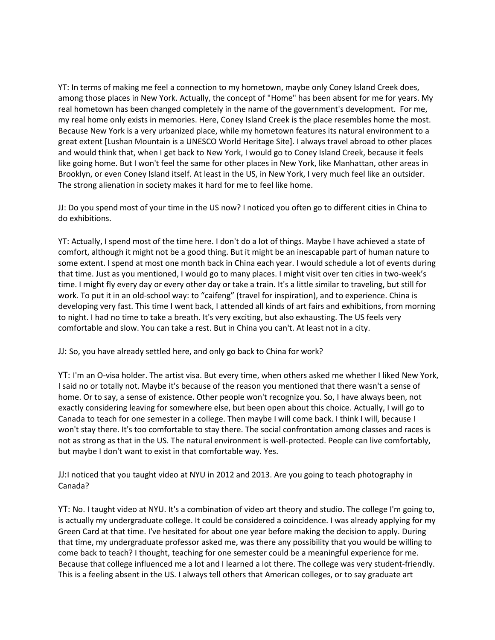YT: In terms of making me feel a connection to my hometown, maybe only Coney Island Creek does, among those places in New York. Actually, the concept of "Home" has been absent for me for years. My real hometown has been changed completely in the name of the government's development. For me, my real home only exists in memories. Here, Coney Island Creek is the place resembles home the most. Because New York is a very urbanized place, while my hometown features its natural environment to a great extent [Lushan Mountain is a UNESCO World Heritage Site]. I always travel abroad to other places and would think that, when I get back to New York, I would go to Coney Island Creek, because it feels like going home. But I won't feel the same for other places in New York, like Manhattan, other areas in Brooklyn, or even Coney Island itself. At least in the US, in New York, I very much feel like an outsider. The strong alienation in society makes it hard for me to feel like home.

JJ: Do you spend most of your time in the US now? I noticed you often go to different cities in China to do exhibitions.

YT: Actually, I spend most of the time here. I don't do a lot of things. Maybe I have achieved a state of comfort, although it might not be a good thing. But it might be an inescapable part of human nature to some extent. I spend at most one month back in China each year. I would schedule a lot of events during that time. Just as you mentioned, I would go to many places. I might visit over ten cities in two-week's time. I might fly every day or every other day or take a train. It's a little similar to traveling, but still for work. To put it in an old-school way: to "caifeng" (travel for inspiration), and to experience. China is developing very fast. This time I went back, I attended all kinds of art fairs and exhibitions, from morning to night. I had no time to take a breath. It's very exciting, but also exhausting. The US feels very comfortable and slow. You can take a rest. But in China you can't. At least not in a city.

JJ: So, you have already settled here, and only go back to China for work?

YT: I'm an O-visa holder. The artist visa. But every time, when others asked me whether I liked New York, I said no or totally not. Maybe it's because of the reason you mentioned that there wasn't a sense of home. Or to say, a sense of existence. Other people won't recognize you. So, I have always been, not exactly considering leaving for somewhere else, but been open about this choice. Actually, I will go to Canada to teach for one semester in a college. Then maybe I will come back. I think I will, because I won't stay there. It's too comfortable to stay there. The social confrontation among classes and races is not as strong as that in the US. The natural environment is well-protected. People can live comfortably, but maybe I don't want to exist in that comfortable way. Yes.

JJ:I noticed that you taught video at NYU in 2012 and 2013. Are you going to teach photography in Canada?

YT: No. I taught video at NYU. It's a combination of video art theory and studio. The college I'm going to, is actually my undergraduate college. It could be considered a coincidence. I was already applying for my Green Card at that time. I've hesitated for about one year before making the decision to apply. During that time, my undergraduate professor asked me, was there any possibility that you would be willing to come back to teach? I thought, teaching for one semester could be a meaningful experience for me. Because that college influenced me a lot and I learned a lot there. The college was very student-friendly. This is a feeling absent in the US. I always tell others that American colleges, or to say graduate art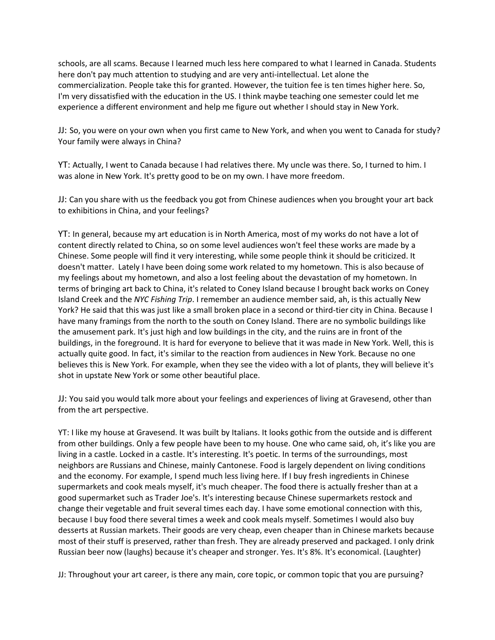schools, are all scams. Because I learned much less here compared to what I learned in Canada. Students here don't pay much attention to studying and are very anti-intellectual. Let alone the commercialization. People take this for granted. However, the tuition fee is ten times higher here. So, I'm very dissatisfied with the education in the US. I think maybe teaching one semester could let me experience a different environment and help me figure out whether I should stay in New York.

JJ: So, you were on your own when you first came to New York, and when you went to Canada for study? Your family were always in China?

YT: Actually, I went to Canada because I had relatives there. My uncle was there. So, I turned to him. I was alone in New York. It's pretty good to be on my own. I have more freedom.

JJ: Can you share with us the feedback you got from Chinese audiences when you brought your art back to exhibitions in China, and your feelings?

YT: In general, because my art education is in North America, most of my works do not have a lot of content directly related to China, so on some level audiences won't feel these works are made by a Chinese. Some people will find it very interesting, while some people think it should be criticized. It doesn't matter. Lately I have been doing some work related to my hometown. This is also because of my feelings about my hometown, and also a lost feeling about the devastation of my hometown. In terms of bringing art back to China, it's related to Coney Island because I brought back works on Coney Island Creek and the *NYC Fishing Trip*. I remember an audience member said, ah, is this actually New York? He said that this was just like a small broken place in a second or third-tier city in China. Because I have many framings from the north to the south on Coney Island. There are no symbolic buildings like the amusement park. It's just high and low buildings in the city, and the ruins are in front of the buildings, in the foreground. It is hard for everyone to believe that it was made in New York. Well, this is actually quite good. In fact, it's similar to the reaction from audiences in New York. Because no one believes this is New York. For example, when they see the video with a lot of plants, they will believe it's shot in upstate New York or some other beautiful place.

JJ: You said you would talk more about your feelings and experiences of living at Gravesend, other than from the art perspective.

YT: I like my house at Gravesend. It was built by Italians. It looks gothic from the outside and is different from other buildings. Only a few people have been to my house. One who came said, oh, it's like you are living in a castle. Locked in a castle. It's interesting. It's poetic. In terms of the surroundings, most neighbors are Russians and Chinese, mainly Cantonese. Food is largely dependent on living conditions and the economy. For example, I spend much less living here. If I buy fresh ingredients in Chinese supermarkets and cook meals myself, it's much cheaper. The food there is actually fresher than at a good supermarket such as Trader Joe's. It's interesting because Chinese supermarkets restock and change their vegetable and fruit several times each day. I have some emotional connection with this, because I buy food there several times a week and cook meals myself. Sometimes I would also buy desserts at Russian markets. Their goods are very cheap, even cheaper than in Chinese markets because most of their stuff is preserved, rather than fresh. They are already preserved and packaged. I only drink Russian beer now (laughs) because it's cheaper and stronger. Yes. It's 8%. It's economical. (Laughter)

JJ: Throughout your art career, is there any main, core topic, or common topic that you are pursuing?